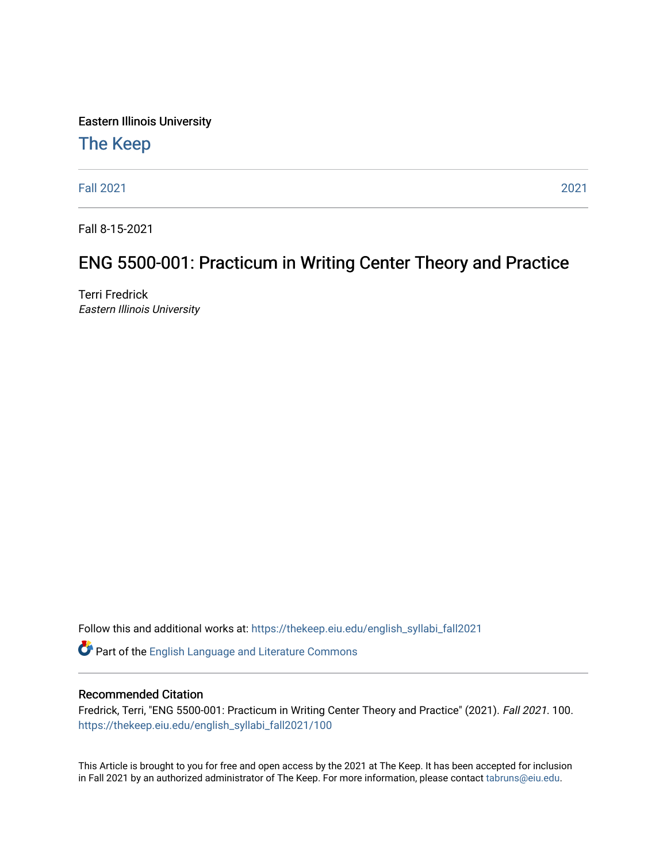Eastern Illinois University

## [The Keep](https://thekeep.eiu.edu/)

[Fall 2021](https://thekeep.eiu.edu/english_syllabi_fall2021) [2021](https://thekeep.eiu.edu/english_syllabi2021) 

Fall 8-15-2021

## ENG 5500-001: Practicum in Writing Center Theory and Practice

Terri Fredrick Eastern Illinois University

Follow this and additional works at: [https://thekeep.eiu.edu/english\\_syllabi\\_fall2021](https://thekeep.eiu.edu/english_syllabi_fall2021?utm_source=thekeep.eiu.edu%2Fenglish_syllabi_fall2021%2F100&utm_medium=PDF&utm_campaign=PDFCoverPages) 

Part of the [English Language and Literature Commons](http://network.bepress.com/hgg/discipline/455?utm_source=thekeep.eiu.edu%2Fenglish_syllabi_fall2021%2F100&utm_medium=PDF&utm_campaign=PDFCoverPages)

#### Recommended Citation

Fredrick, Terri, "ENG 5500-001: Practicum in Writing Center Theory and Practice" (2021). Fall 2021. 100. [https://thekeep.eiu.edu/english\\_syllabi\\_fall2021/100](https://thekeep.eiu.edu/english_syllabi_fall2021/100?utm_source=thekeep.eiu.edu%2Fenglish_syllabi_fall2021%2F100&utm_medium=PDF&utm_campaign=PDFCoverPages) 

This Article is brought to you for free and open access by the 2021 at The Keep. It has been accepted for inclusion in Fall 2021 by an authorized administrator of The Keep. For more information, please contact [tabruns@eiu.edu](mailto:tabruns@eiu.edu).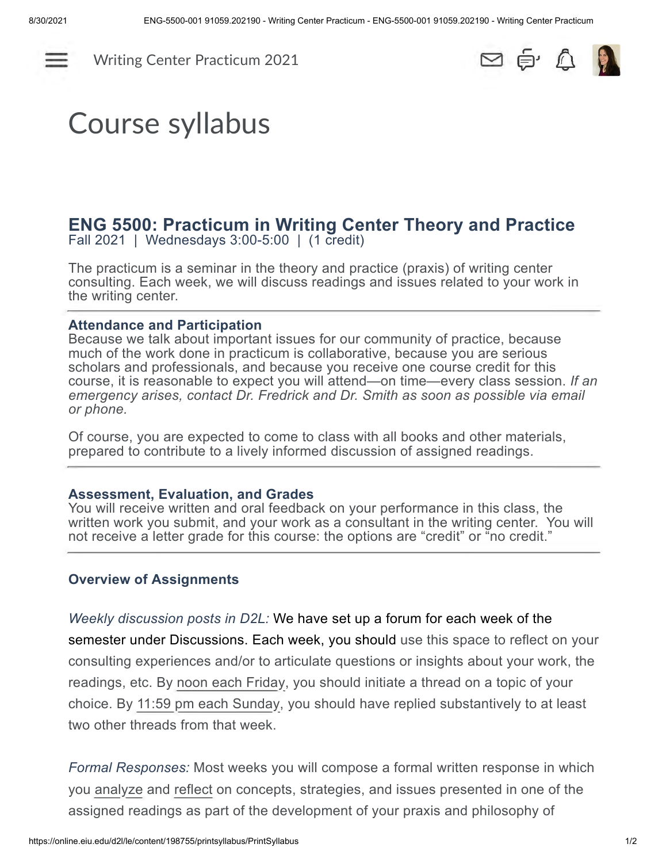

[Writing Center Practicum 2021](https://online.eiu.edu/d2l/home/198755)



# Course syllabus

## **ENG 5500: Practicum in Writing Center Theory and Practice**

Fall 2021 | Wednesdays 3:00-5:00 | (1 credit)

The practicum is a seminar in the theory and practice (praxis) of writing center consulting. Each week, we will discuss readings and issues related to your work in the writing center.

#### **Attendance and Participation**

Because we talk about important issues for our community of practice, because much of the work done in practicum is collaborative, because you are serious scholars and professionals, and because you receive one course credit for this course, it is reasonable to expect you will attend—on time—every class session. *If an emergency arises, contact Dr. Fredrick and Dr. Smith as soon as possible via email or phone.*

Of course, you are expected to come to class with all books and other materials, prepared to contribute to a lively informed discussion of assigned readings.

#### **Assessment, Evaluation, and Grades**

You will receive written and oral feedback on your performance in this class, the written work you submit, and your work as a consultant in the writing center. You will not receive a letter grade for this course: the options are "credit" or "no credit."

#### **Overview of Assignments**

#### *Weekly discussion posts in D2L:* We have set up a forum for each week of the

semester under Discussions. Each week, you should use this space to reflect on your consulting experiences and/or to articulate questions or insights about your work, the readings, etc. By noon each Friday, you should initiate a thread on a topic of your choice. By 11:59 pm each Sunday, you should have replied substantively to at least two other threads from that week.

*Formal Responses:* Most weeks you will compose a formal written response in which you analyze and reflect on concepts, strategies, and issues presented in one of the assigned readings as part of the development of your praxis and philosophy of